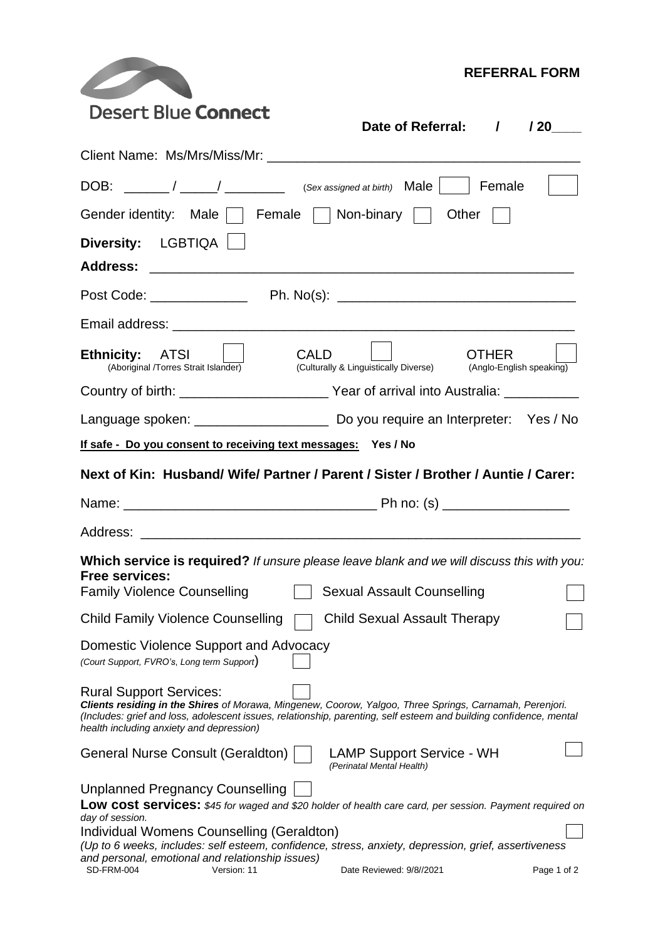|                                                                                      | <b>REFERRAL FORM</b>                                                                                                                                                                                                          |             |  |  |  |  |
|--------------------------------------------------------------------------------------|-------------------------------------------------------------------------------------------------------------------------------------------------------------------------------------------------------------------------------|-------------|--|--|--|--|
| <b>Desert Blue Connect</b>                                                           | Date of Referral: / / 20                                                                                                                                                                                                      |             |  |  |  |  |
|                                                                                      |                                                                                                                                                                                                                               |             |  |  |  |  |
|                                                                                      | DOB: $\frac{1}{\sqrt{2\pi}}$ / $\frac{1}{\sqrt{2\pi}}$ (Sex assigned at birth) Male   Female                                                                                                                                  |             |  |  |  |  |
| Gender identity: Male     Female     Non-binary                                      | Other $ \Box$                                                                                                                                                                                                                 |             |  |  |  |  |
| Diversity: LGBTIQA                                                                   |                                                                                                                                                                                                                               |             |  |  |  |  |
|                                                                                      |                                                                                                                                                                                                                               |             |  |  |  |  |
|                                                                                      |                                                                                                                                                                                                                               |             |  |  |  |  |
|                                                                                      |                                                                                                                                                                                                                               |             |  |  |  |  |
| Ethnicity: ATSI    <br>(Aboriginal /Torres Strait Islander)                          | CALD.<br>OTHER<br>(Culturally & Linguistically Diverse) (Anglo-English speaking)                                                                                                                                              |             |  |  |  |  |
|                                                                                      |                                                                                                                                                                                                                               |             |  |  |  |  |
|                                                                                      |                                                                                                                                                                                                                               |             |  |  |  |  |
| If safe - Do you consent to receiving text messages: Yes / No                        |                                                                                                                                                                                                                               |             |  |  |  |  |
|                                                                                      | Next of Kin: Husband/ Wife/ Partner / Parent / Sister / Brother / Auntie / Carer:                                                                                                                                             |             |  |  |  |  |
|                                                                                      |                                                                                                                                                                                                                               |             |  |  |  |  |
|                                                                                      |                                                                                                                                                                                                                               |             |  |  |  |  |
| <b>Free services:</b>                                                                | <b>Which service is required?</b> If unsure please leave blank and we will discuss this with you:                                                                                                                             |             |  |  |  |  |
| <b>Family Violence Counselling</b>                                                   | <b>Sexual Assault Counselling</b>                                                                                                                                                                                             |             |  |  |  |  |
| <b>Child Family Violence Counselling</b>                                             | <b>Child Sexual Assault Therapy</b>                                                                                                                                                                                           |             |  |  |  |  |
| Domestic Violence Support and Advocacy<br>(Court Support, FVRO's, Long term Support) |                                                                                                                                                                                                                               |             |  |  |  |  |
| <b>Rural Support Services:</b><br>health including anxiety and depression)           | Clients residing in the Shires of Morawa, Mingenew, Coorow, Yalgoo, Three Springs, Carnamah, Perenjori.<br>(Includes: grief and loss, adolescent issues, relationship, parenting, self esteem and building confidence, mental |             |  |  |  |  |
| General Nurse Consult (Geraldton)                                                    | <b>LAMP Support Service - WH</b><br>(Perinatal Mental Health)                                                                                                                                                                 |             |  |  |  |  |
| <b>Unplanned Pregnancy Counselling</b>                                               | Low cost services: \$45 for waged and \$20 holder of health care card, per session. Payment required on                                                                                                                       |             |  |  |  |  |
| day of session.<br>Individual Womens Counselling (Geraldton)                         | (Up to 6 weeks, includes: self esteem, confidence, stress, anxiety, depression, grief, assertiveness                                                                                                                          |             |  |  |  |  |
| and personal, emotional and relationship issues)<br>SD-FRM-004<br>Version: 11        | Date Reviewed: 9/8//2021                                                                                                                                                                                                      | Page 1 of 2 |  |  |  |  |